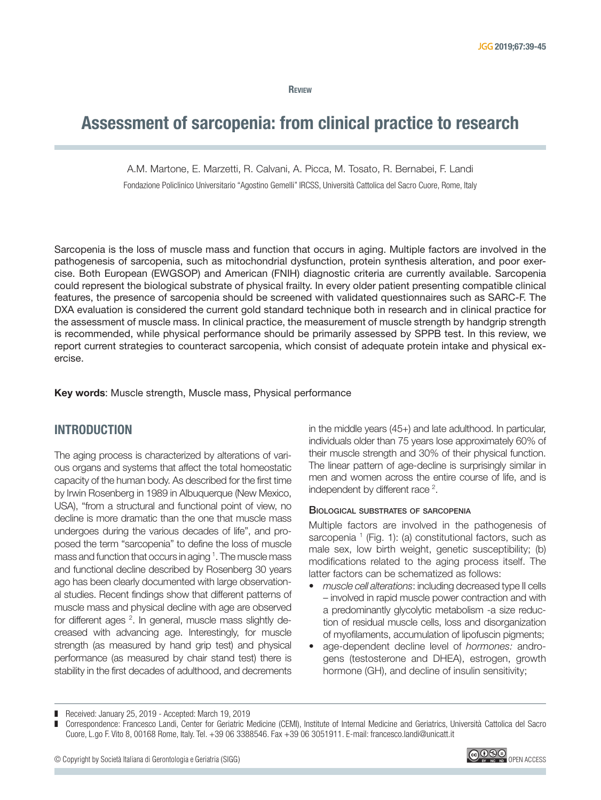**REVIEW** 

# Assessment of sarcopenia: from clinical practice to research

A.M. Martone, E. Marzetti, R. Calvani, A. Picca, M. Tosato, R. Bernabei, F. Landi

Fondazione Policlinico Universitario "Agostino Gemelli" IRCSS, Università Cattolica del Sacro Cuore, Rome, Italy

Sarcopenia is the loss of muscle mass and function that occurs in aging. Multiple factors are involved in the pathogenesis of sarcopenia, such as mitochondrial dysfunction, protein synthesis alteration, and poor exercise. Both European (EWGSOP) and American (FNIH) diagnostic criteria are currently available. Sarcopenia could represent the biological substrate of physical frailty. In every older patient presenting compatible clinical features, the presence of sarcopenia should be screened with validated questionnaires such as SARC-F. The DXA evaluation is considered the current gold standard technique both in research and in clinical practice for the assessment of muscle mass. In clinical practice, the measurement of muscle strength by handgrip strength is recommended, while physical performance should be primarily assessed by SPPB test. In this review, we report current strategies to counteract sarcopenia, which consist of adequate protein intake and physical exercise.

Key words: Muscle strength, Muscle mass, Physical performance

# INTRODUCTION

The aging process is characterized by alterations of various organs and systems that affect the total homeostatic capacity of the human body. As described for the first time by Irwin Rosenberg in 1989 in Albuquerque (New Mexico, USA), "from a structural and functional point of view, no decline is more dramatic than the one that muscle mass undergoes during the various decades of life", and proposed the term "sarcopenia" to define the loss of muscle mass and function that occurs in aging <sup>1</sup>. The muscle mass and functional decline described by Rosenberg 30 years ago has been clearly documented with large observational studies. Recent findings show that different patterns of muscle mass and physical decline with age are observed for different ages <sup>2</sup>. In general, muscle mass slightly decreased with advancing age. Interestingly, for muscle strength (as measured by hand grip test) and physical performance (as measured by chair stand test) there is stability in the first decades of adulthood, and decrements

in the middle years (45+) and late adulthood. In particular, individuals older than 75 years lose approximately 60% of their muscle strength and 30% of their physical function. The linear pattern of age-decline is surprisingly similar in men and women across the entire course of life, and is independent by different race<sup>2</sup>.

# Biological substrates of sarcopenia

Multiple factors are involved in the pathogenesis of sarcopenia  $<sup>1</sup>$  (Fig. 1): (a) constitutional factors, such as</sup> male sex, low birth weight, genetic susceptibility; (b) modifications related to the aging process itself. The latter factors can be schematized as follows:

- *• muscle cell alterations*: including decreased type II cells – involved in rapid muscle power contraction and with a predominantly glycolytic metabolism -a size reduction of residual muscle cells, loss and disorganization of myofilaments, accumulation of lipofuscin pigments;
- age-dependent decline level of *hormones:* androgens (testosterone and DHEA), estrogen, growth hormone (GH), and decline of insulin sensitivity;



<sup>■</sup> Received: January 25, 2019 - Accepted: March 19, 2019

<sup>❚</sup> Correspondence: Francesco Landi, Center for Geriatric Medicine (CEMI), Institute of Internal Medicine and Geriatrics, Università Cattolica del Sacro Cuore, L.go F. Vito 8, 00168 Rome, Italy. Tel. +39 06 3388546. Fax +39 06 3051911. E-mail: francesco.landi@unicatt.it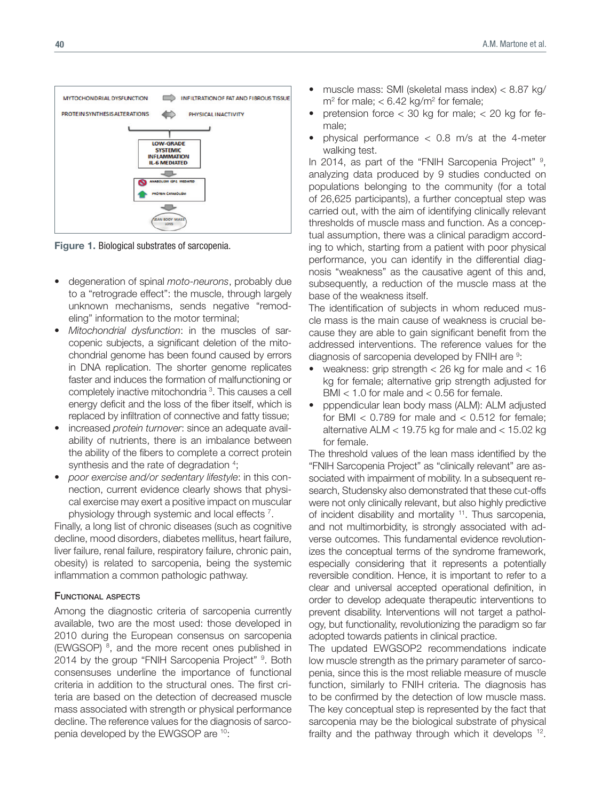

Figure 1. Biological substrates of sarcopenia.

- degeneration of spinal *moto-neurons*, probably due to a "retrograde effect": the muscle, through largely unknown mechanisms, sends negative "remodeling" information to the motor terminal;
- *• Mitochondrial dysfunction*: in the muscles of sarcopenic subjects, a significant deletion of the mitochondrial genome has been found caused by errors in DNA replication. The shorter genome replicates faster and induces the formation of malfunctioning or completely inactive mitochondria<sup>3</sup>. This causes a cell energy deficit and the loss of the fiber itself, which is replaced by infiltration of connective and fatty tissue;
- increased *protein turnover*: since an adequate availability of nutrients, there is an imbalance between the ability of the fibers to complete a correct protein synthesis and the rate of degradation <sup>4</sup>;
- *• poor exercise and/or sedentary lifestyle*: in this connection, current evidence clearly shows that physical exercise may exert a positive impact on muscular physiology through systemic and local effects  $<sup>7</sup>$ .</sup>

Finally, a long list of chronic diseases (such as cognitive decline, mood disorders, diabetes mellitus, heart failure, liver failure, renal failure, respiratory failure, chronic pain, obesity) is related to sarcopenia, being the systemic inflammation a common pathologic pathway.

# Functional aspects

Among the diagnostic criteria of sarcopenia currently available, two are the most used: those developed in 2010 during the European consensus on sarcopenia (EWGSOP)<sup>8</sup>, and the more recent ones published in 2014 by the group "FNIH Sarcopenia Project" <sup>9</sup>. Both consensuses underline the importance of functional criteria in addition to the structural ones. The first criteria are based on the detection of decreased muscle mass associated with strength or physical performance decline. The reference values for the diagnosis of sarcopenia developed by the EWGSOP are 10:

- muscle mass: SMI (skeletal mass index) < 8.87 kg/  $m<sup>2</sup>$  for male;  $<$  6.42 kg/m<sup>2</sup> for female;
- pretension force  $<$  30 kg for male;  $<$  20 kg for female;
- physical performance  $<$  0.8 m/s at the 4-meter walking test.

In 2014, as part of the "FNIH Sarcopenia Project" 9, analyzing data produced by 9 studies conducted on populations belonging to the community (for a total of 26,625 participants), a further conceptual step was carried out, with the aim of identifying clinically relevant thresholds of muscle mass and function. As a conceptual assumption, there was a clinical paradigm according to which, starting from a patient with poor physical performance, you can identify in the differential diagnosis "weakness" as the causative agent of this and, subsequently, a reduction of the muscle mass at the base of the weakness itself.

The identification of subjects in whom reduced muscle mass is the main cause of weakness is crucial because they are able to gain significant benefit from the addressed interventions. The reference values for the diagnosis of sarcopenia developed by FNIH are  $9$ :

- weakness: grip strength  $<$  26 kg for male and  $<$  16 kg for female; alternative grip strength adjusted for BMI  $<$  1.0 for male and  $<$  0.56 for female.
- pppendicular lean body mass (ALM): ALM adjusted for BMI  $<$  0.789 for male and  $<$  0.512 for female; alternative ALM < 19.75 kg for male and < 15.02 kg for female.

The threshold values of the lean mass identified by the "FNIH Sarcopenia Project" as "clinically relevant" are associated with impairment of mobility. In a subsequent research, Studensky also demonstrated that these cut-offs were not only clinically relevant, but also highly predictive of incident disability and mortality <sup>11</sup>. Thus sarcopenia, and not multimorbidity, is strongly associated with adverse outcomes. This fundamental evidence revolutionizes the conceptual terms of the syndrome framework, especially considering that it represents a potentially reversible condition. Hence, it is important to refer to a clear and universal accepted operational definition, in order to develop adequate therapeutic interventions to prevent disability. Interventions will not target a pathology, but functionality, revolutionizing the paradigm so far adopted towards patients in clinical practice.

The updated EWGSOP2 recommendations indicate low muscle strength as the primary parameter of sarcopenia, since this is the most reliable measure of muscle function, similarly to FNIH criteria. The diagnosis has to be confirmed by the detection of low muscle mass. The key conceptual step is represented by the fact that sarcopenia may be the biological substrate of physical frailty and the pathway through which it develops  $12$ .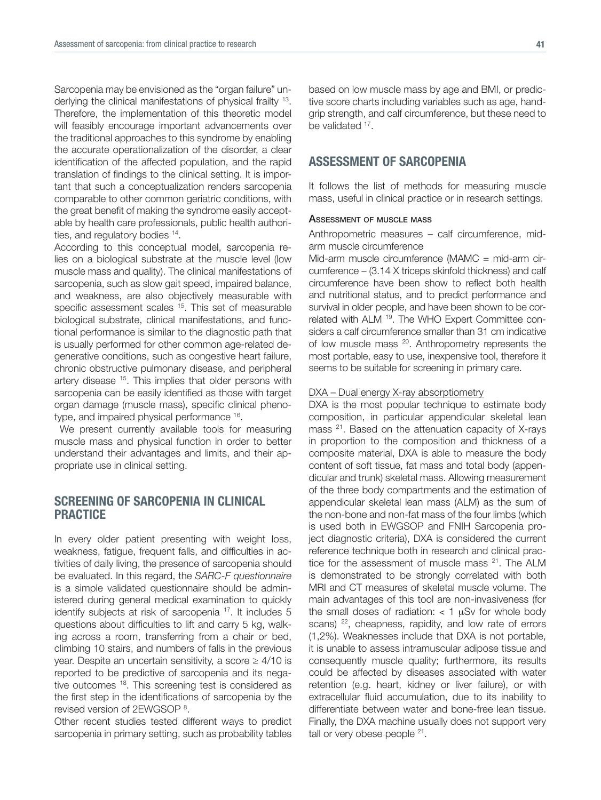Sarcopenia may be envisioned as the "organ failure" underlying the clinical manifestations of physical frailty 13. Therefore, the implementation of this theoretic model will feasibly encourage important advancements over the traditional approaches to this syndrome by enabling the accurate operationalization of the disorder, a clear identification of the affected population, and the rapid translation of findings to the clinical setting. It is important that such a conceptualization renders sarcopenia comparable to other common geriatric conditions, with the great benefit of making the syndrome easily acceptable by health care professionals, public health authorities, and regulatory bodies 14.

According to this conceptual model, sarcopenia relies on a biological substrate at the muscle level (low muscle mass and quality). The clinical manifestations of sarcopenia, such as slow gait speed, impaired balance, and weakness, are also objectively measurable with specific assessment scales <sup>15</sup>. This set of measurable biological substrate, clinical manifestations, and functional performance is similar to the diagnostic path that is usually performed for other common age-related degenerative conditions, such as congestive heart failure, chronic obstructive pulmonary disease, and peripheral artery disease <sup>15</sup>. This implies that older persons with sarcopenia can be easily identified as those with target organ damage (muscle mass), specific clinical phenotype, and impaired physical performance 16.

We present currently available tools for measuring muscle mass and physical function in order to better understand their advantages and limits, and their appropriate use in clinical setting.

# SCREENING OF SARCOPENIA IN CLINICAL **PRACTICE**

In every older patient presenting with weight loss, weakness, fatigue, frequent falls, and difficulties in activities of daily living, the presence of sarcopenia should be evaluated. In this regard, the *SARC-F questionnaire* is a simple validated questionnaire should be administered during general medical examination to quickly identify subjects at risk of sarcopenia <sup>17</sup>. It includes 5 questions about difficulties to lift and carry 5 kg, walking across a room, transferring from a chair or bed, climbing 10 stairs, and numbers of falls in the previous year. Despite an uncertain sensitivity, a score  $\geq 4/10$  is reported to be predictive of sarcopenia and its negative outcomes <sup>18</sup>. This screening test is considered as the first step in the identifications of sarcopenia by the revised version of 2EWGSOP<sup>8</sup>.

Other recent studies tested different ways to predict sarcopenia in primary setting, such as probability tables

based on low muscle mass by age and BMI, or predictive score charts including variables such as age, handgrip strength, and calf circumference, but these need to be validated 17.

# ASSESSMENT OF SARCOPENIA

It follows the list of methods for measuring muscle mass, useful in clinical practice or in research settings.

#### Assessment of muscle mass

Anthropometric measures – calf circumference, midarm muscle circumference

Mid-arm muscle circumference (MAMC = mid-arm circumference – (3.14 X triceps skinfold thickness) and calf circumference have been show to reflect both health and nutritional status, and to predict performance and survival in older people, and have been shown to be correlated with ALM 19. The WHO Expert Committee considers a calf circumference smaller than 31 cm indicative of low muscle mass <sup>20</sup>. Anthropometry represents the most portable, easy to use, inexpensive tool, therefore it seems to be suitable for screening in primary care.

### DXA – Dual energy X-ray absorptiometry

DXA is the most popular technique to estimate body composition, in particular appendicular skeletal lean mass <sup>21</sup>. Based on the attenuation capacity of X-rays in proportion to the composition and thickness of a composite material, DXA is able to measure the body content of soft tissue, fat mass and total body (appendicular and trunk) skeletal mass. Allowing measurement of the three body compartments and the estimation of appendicular skeletal lean mass (ALM) as the sum of the non-bone and non-fat mass of the four limbs (which is used both in EWGSOP and FNIH Sarcopenia project diagnostic criteria), DXA is considered the current reference technique both in research and clinical practice for the assessment of muscle mass <sup>21</sup>. The ALM is demonstrated to be strongly correlated with both MRI and CT measures of skeletal muscle volume. The main advantages of this tool are non-invasiveness (for the small doses of radiation:  $<$  1  $\mu$ Sv for whole body scans) <sup>22</sup>, cheapness, rapidity, and low rate of errors (1,2%). Weaknesses include that DXA is not portable, it is unable to assess intramuscular adipose tissue and consequently muscle quality; furthermore, its results could be affected by diseases associated with water retention (e.g. heart, kidney or liver failure), or with extracellular fluid accumulation, due to its inability to differentiate between water and bone-free lean tissue. Finally, the DXA machine usually does not support very tall or very obese people <sup>21</sup>.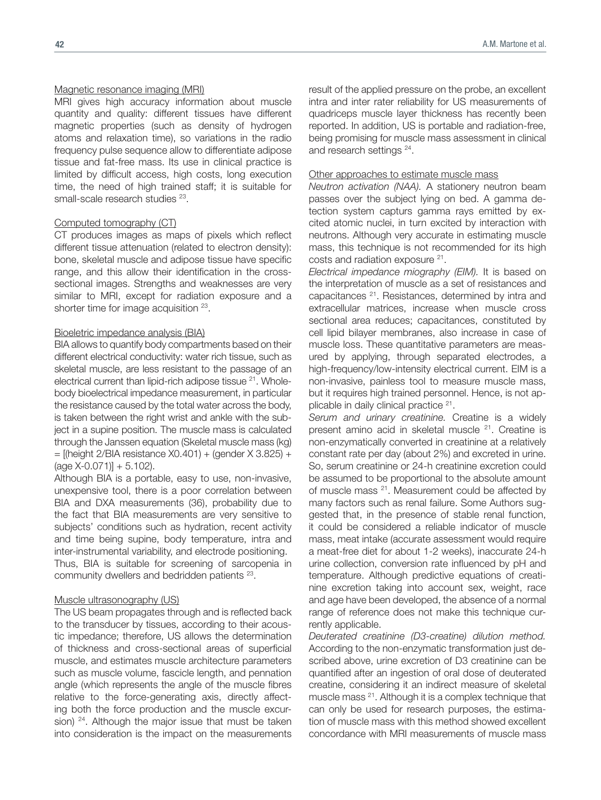#### Magnetic resonance imaging (MRI)

MRI gives high accuracy information about muscle quantity and quality: different tissues have different magnetic properties (such as density of hydrogen atoms and relaxation time), so variations in the radio frequency pulse sequence allow to differentiate adipose tissue and fat-free mass. Its use in clinical practice is limited by difficult access, high costs, long execution time, the need of high trained staff; it is suitable for small-scale research studies <sup>23</sup>.

# Computed tomography (CT)

CT produces images as maps of pixels which reflect different tissue attenuation (related to electron density): bone, skeletal muscle and adipose tissue have specific range, and this allow their identification in the crosssectional images. Strengths and weaknesses are very similar to MRI, except for radiation exposure and a shorter time for image acquisition 23.

#### Bioeletric impedance analysis (BIA)

BIA allows to quantify body compartments based on their different electrical conductivity: water rich tissue, such as skeletal muscle, are less resistant to the passage of an electrical current than lipid-rich adipose tissue <sup>21</sup>. Wholebody bioelectrical impedance measurement, in particular the resistance caused by the total water across the body, is taken between the right wrist and ankle with the subject in a supine position. The muscle mass is calculated through the Janssen equation (Skeletal muscle mass (kg) = [(height 2/BIA resistance X0.401) + (gender X 3.825) +  $(\text{age } X - 0.071)] + 5.102$ .

Although BIA is a portable, easy to use, non-invasive, unexpensive tool, there is a poor correlation between BIA and DXA measurements (36), probability due to the fact that BIA measurements are very sensitive to subjects' conditions such as hydration, recent activity and time being supine, body temperature, intra and inter-instrumental variability, and electrode positioning. Thus, BIA is suitable for screening of sarcopenia in community dwellers and bedridden patients 23.

#### Muscle ultrasonography (US)

The US beam propagates through and is reflected back to the transducer by tissues, according to their acoustic impedance; therefore, US allows the determination of thickness and cross-sectional areas of superficial muscle, and estimates muscle architecture parameters such as muscle volume, fascicle length, and pennation angle (which represents the angle of the muscle fibres relative to the force-generating axis, directly affecting both the force production and the muscle excursion)  $24$ . Although the major issue that must be taken into consideration is the impact on the measurements

result of the applied pressure on the probe, an excellent intra and inter rater reliability for US measurements of quadriceps muscle layer thickness has recently been reported. In addition, US is portable and radiation-free, being promising for muscle mass assessment in clinical and research settings 24.

#### Other approaches to estimate muscle mass

*Neutron activation (NAA).* A stationery neutron beam passes over the subject lying on bed. A gamma detection system capturs gamma rays emitted by excited atomic nuclei, in turn excited by interaction with neutrons. Although very accurate in estimating muscle mass, this technique is not recommended for its high costs and radiation exposure 21.

*Electrical impedance miography (EIM).* It is based on the interpretation of muscle as a set of resistances and capacitances 21. Resistances, determined by intra and extracellular matrices, increase when muscle cross sectional area reduces; capacitances, constituted by cell lipid bilayer membranes, also increase in case of muscle loss. These quantitative parameters are measured by applying, through separated electrodes, a high-frequency/low-intensity electrical current. EIM is a non-invasive, painless tool to measure muscle mass, but it requires high trained personnel. Hence, is not applicable in daily clinical practice 21.

*Serum and urinary creatinine.* Creatine is a widely present amino acid in skeletal muscle <sup>21</sup>. Creatine is non-enzymatically converted in creatinine at a relatively constant rate per day (about 2%) and excreted in urine. So, serum creatinine or 24-h creatinine excretion could be assumed to be proportional to the absolute amount of muscle mass <sup>21</sup>. Measurement could be affected by many factors such as renal failure. Some Authors suggested that, in the presence of stable renal function, it could be considered a reliable indicator of muscle mass, meat intake (accurate assessment would require a meat-free diet for about 1-2 weeks), inaccurate 24-h urine collection, conversion rate influenced by pH and temperature. Although predictive equations of creatinine excretion taking into account sex, weight, race and age have been developed, the absence of a normal range of reference does not make this technique currently applicable.

*Deuterated creatinine (D3-creatine) dilution method.* According to the non-enzymatic transformation just described above, urine excretion of D3 creatinine can be quantified after an ingestion of oral dose of deuterated creatine, considering it an indirect measure of skeletal muscle mass 21. Although it is a complex technique that can only be used for research purposes, the estimation of muscle mass with this method showed excellent concordance with MRI measurements of muscle mass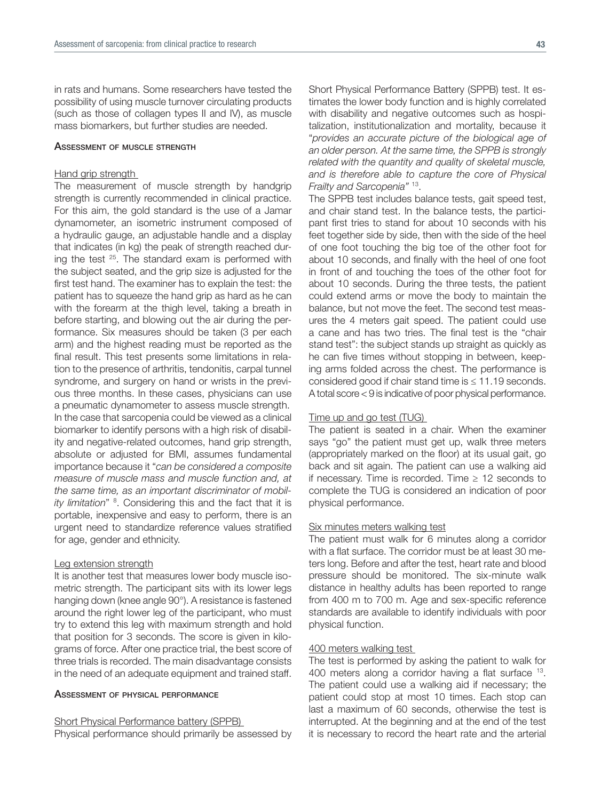in rats and humans. Some researchers have tested the possibility of using muscle turnover circulating products (such as those of collagen types II and IV), as muscle mass biomarkers, but further studies are needed.

#### Assessment of muscle strength

#### Hand grip strength

The measurement of muscle strength by handgrip strength is currently recommended in clinical practice. For this aim, the gold standard is the use of a Jamar dynamometer, an isometric instrument composed of a hydraulic gauge, an adjustable handle and a display that indicates (in kg) the peak of strength reached during the test <sup>25</sup>. The standard exam is performed with the subject seated, and the grip size is adjusted for the first test hand. The examiner has to explain the test: the patient has to squeeze the hand grip as hard as he can with the forearm at the thigh level, taking a breath in before starting, and blowing out the air during the performance. Six measures should be taken (3 per each arm) and the highest reading must be reported as the final result. This test presents some limitations in relation to the presence of arthritis, tendonitis, carpal tunnel syndrome, and surgery on hand or wrists in the previous three months. In these cases, physicians can use a pneumatic dynamometer to assess muscle strength. In the case that sarcopenia could be viewed as a clinical biomarker to identify persons with a high risk of disability and negative-related outcomes, hand grip strength, absolute or adjusted for BMI, assumes fundamental importance because it "*can be considered a composite measure of muscle mass and muscle function and, at the same time, as an important discriminator of mobility limitation*" <sup>8</sup> . Considering this and the fact that it is portable, inexpensive and easy to perform, there is an urgent need to standardize reference values stratified for age, gender and ethnicity.

#### Leg extension strength

It is another test that measures lower body muscle isometric strength. The participant sits with its lower legs hanging down (knee angle 90°). A resistance is fastened around the right lower leg of the participant, who must try to extend this leg with maximum strength and hold that position for 3 seconds. The score is given in kilograms of force. After one practice trial, the best score of three trials is recorded. The main disadvantage consists in the need of an adequate equipment and trained staff.

#### Assessment of physical performance

#### Short Physical Performance battery (SPPB)

Physical performance should primarily be assessed by

Short Physical Performance Battery (SPPB) test. It estimates the lower body function and is highly correlated with disability and negative outcomes such as hospitalization, institutionalization and mortality, because it "*provides an accurate picture of the biological age of an older person. At the same time, the SPPB is strongly related with the quantity and quality of skeletal muscle, and is therefore able to capture the core of Physical Frailty and Sarcopenia"* 13.

The SPPB test includes balance tests, gait speed test, and chair stand test. In the balance tests, the participant first tries to stand for about 10 seconds with his feet together side by side, then with the side of the heel of one foot touching the big toe of the other foot for about 10 seconds, and finally with the heel of one foot in front of and touching the toes of the other foot for about 10 seconds. During the three tests, the patient could extend arms or move the body to maintain the balance, but not move the feet. The second test measures the 4 meters gait speed. The patient could use a cane and has two tries. The final test is the "chair stand test": the subject stands up straight as quickly as he can five times without stopping in between, keeping arms folded across the chest. The performance is considered good if chair stand time is ≤ 11.19 seconds. A total score < 9 is indicative of poor physical performance.

#### Time up and go test (TUG)

The patient is seated in a chair. When the examiner says "go" the patient must get up, walk three meters (appropriately marked on the floor) at its usual gait, go back and sit again. The patient can use a walking aid if necessary. Time is recorded. Time  $\geq$  12 seconds to complete the TUG is considered an indication of poor physical performance.

#### Six minutes meters walking test

The patient must walk for 6 minutes along a corridor with a flat surface. The corridor must be at least 30 meters long. Before and after the test, heart rate and blood pressure should be monitored. The six-minute walk distance in healthy adults has been reported to range from 400 m to 700 m. Age and sex-specific reference standards are available to identify individuals with poor physical function.

#### 400 meters walking test

The test is performed by asking the patient to walk for 400 meters along a corridor having a flat surface 13. The patient could use a walking aid if necessary; the patient could stop at most 10 times. Each stop can last a maximum of 60 seconds, otherwise the test is interrupted. At the beginning and at the end of the test it is necessary to record the heart rate and the arterial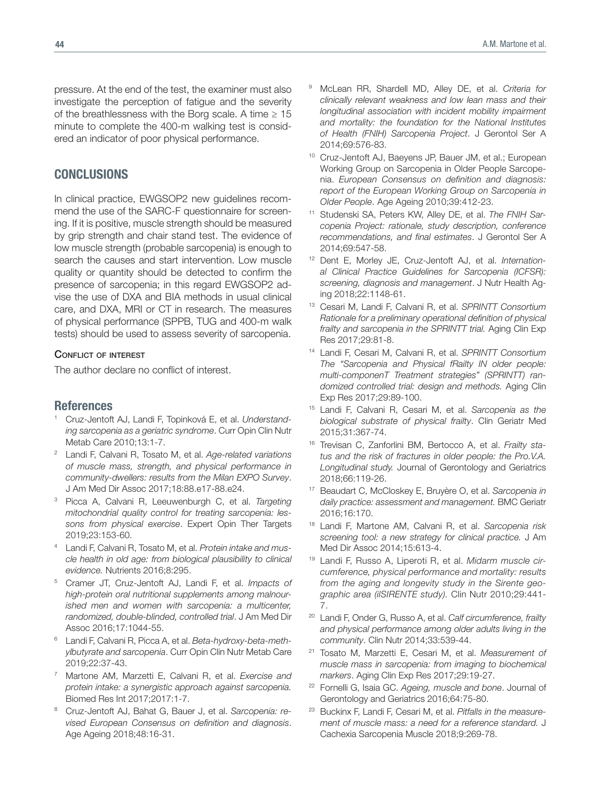pressure. At the end of the test, the examiner must also investigate the perception of fatigue and the severity of the breathlessness with the Borg scale. A time  $\geq 15$ minute to complete the 400-m walking test is considered an indicator of poor physical performance.

# CONCLUSIONS

In clinical practice, EWGSOP2 new guidelines recommend the use of the SARC-F questionnaire for screening. If it is positive, muscle strength should be measured by grip strength and chair stand test. The evidence of low muscle strength (probable sarcopenia) is enough to search the causes and start intervention. Low muscle quality or quantity should be detected to confirm the presence of sarcopenia; in this regard EWGSOP2 advise the use of DXA and BIA methods in usual clinical care, and DXA, MRI or CT in research. The measures of physical performance (SPPB, TUG and 400-m walk tests) should be used to assess severity of sarcopenia.

#### CONFLICT OF INTEREST

The author declare no conflict of interest.

# References

- <sup>1</sup> Cruz-Jentoft AJ, Landi F, Topinková E, et al. *Understanding sarcopenia as a geriatric syndrome*. Curr Opin Clin Nutr Metab Care 2010;13:1-7.
- <sup>2</sup> Landi F, Calvani R, Tosato M, et al. *Age-related variations of muscle mass, strength, and physical performance in community-dwellers: results from the Milan EXPO Survey*. J Am Med Dir Assoc 2017;18:88.e17-88.e24.
- <sup>3</sup> Picca A, Calvani R, Leeuwenburgh C, et al. *Targeting mitochondrial quality control for treating sarcopenia: lessons from physical exercise*. Expert Opin Ther Targets 2019;23:153-60.
- <sup>4</sup> Landi F, Calvani R, Tosato M, et al. *Protein intake and muscle health in old age: from biological plausibility to clinical evidence.* Nutrients 2016;8:295.
- <sup>5</sup> Cramer JT, Cruz-Jentoft AJ, Landi F, et al. *Impacts of high-protein oral nutritional supplements among malnourished men and women with sarcopenia: a multicenter, randomized, double-blinded, controlled trial*. J Am Med Dir Assoc 2016;17:1044-55.
- <sup>6</sup> Landi F, Calvani R, Picca A, et al. *Beta-hydroxy-beta-methylbutyrate and sarcopenia*. Curr Opin Clin Nutr Metab Care 2019;22:37-43.
- <sup>7</sup> Martone AM, Marzetti E, Calvani R, et al. *Exercise and protein intake: a synergistic approach against sarcopenia.* Biomed Res Int 2017;2017:1-7.
- <sup>8</sup> Cruz-Jentoft AJ, Bahat G, Bauer J, et al. *Sarcopenia: revised European Consensus on definition and diagnosis*. Age Ageing 2018;48:16-31.
- <sup>9</sup> McLean RR, Shardell MD, Alley DE, et al. *Criteria for clinically relevant weakness and low lean mass and their longitudinal association with incident mobility impairment and mortality: the foundation for the National Institutes of Health (FNIH) Sarcopenia Project*. J Gerontol Ser A 2014;69:576-83.
- <sup>10</sup> Cruz-Jentoft AJ, Baeyens JP, Bauer JM, et al.; European Working Group on Sarcopenia in Older People Sarcopenia. *European Consensus on definition and diagnosis: report of the European Working Group on Sarcopenia in Older People*. Age Ageing 2010;39:412-23.
- Studenski SA, Peters KW, Alley DE, et al. The FNIH Sar*copenia Project: rationale, study description, conference recommendations, and final estimates*. J Gerontol Ser A 2014;69:547-58.
- <sup>12</sup> Dent E, Morley JE, Cruz-Jentoft AJ, et al. *International Clinical Practice Guidelines for Sarcopenia (ICFSR): screening, diagnosis and management*. J Nutr Health Aging 2018;22:1148-61.
- <sup>13</sup> Cesari M, Landi F, Calvani R, et al. *SPRINTT Consortium Rationale for a preliminary operational definition of physical frailty and sarcopenia in the SPRINTT trial.* Aging Clin Exp Res 2017;29:81-8.
- <sup>14</sup> Landi F, Cesari M, Calvani R, et al. *SPRINTT Consortium The "Sarcopenia and Physical fRailty IN older people: multi-componenT Treatment strategies" (SPRINTT) randomized controlled trial: design and methods.* Aging Clin Exp Res 2017;29:89-100.
- <sup>15</sup> Landi F, Calvani R, Cesari M, et al. *Sarcopenia as the biological substrate of physical frailty*. Clin Geriatr Med 2015;31:367-74.
- <sup>16</sup> Trevisan C, Zanforlini BM, Bertocco A, et al. *Frailty status and the risk of fractures in older people: the Pro.V.A. Longitudinal study.* Journal of Gerontology and Geriatrics 2018;66:119-26.
- <sup>17</sup> Beaudart C, McCloskey E, Bruyère O, et al. *Sarcopenia in daily practice: assessment and management.* BMC Geriatr 2016;16:170.
- <sup>18</sup> Landi F, Martone AM, Calvani R, et al. *Sarcopenia risk screening tool: a new strategy for clinical practice.* J Am Med Dir Assoc 2014;15:613-4.
- <sup>19</sup> Landi F, Russo A, Liperoti R, et al. *Midarm muscle circumference, physical performance and mortality: results from the aging and longevity study in the Sirente geographic area (ilSIRENTE study).* Clin Nutr 2010;29:441- 7.
- <sup>20</sup> Landi F, Onder G, Russo A, et al. *Calf circumference, frailty and physical performance among older adults living in the community*. Clin Nutr 2014;33:539-44.
- <sup>21</sup> Tosato M, Marzetti E, Cesari M, et al. *Measurement of muscle mass in sarcopenia: from imaging to biochemical markers*. Aging Clin Exp Res 2017;29:19-27.
- <sup>22</sup> Fornelli G, Isaia GC. *Ageing, muscle and bone*. Journal of Gerontology and Geriatrics 2016;64:75-80.
- <sup>23</sup> Buckinx F, Landi F, Cesari M, et al. *Pitfalls in the measurement of muscle mass: a need for a reference standard.* J Cachexia Sarcopenia Muscle 2018;9:269-78.